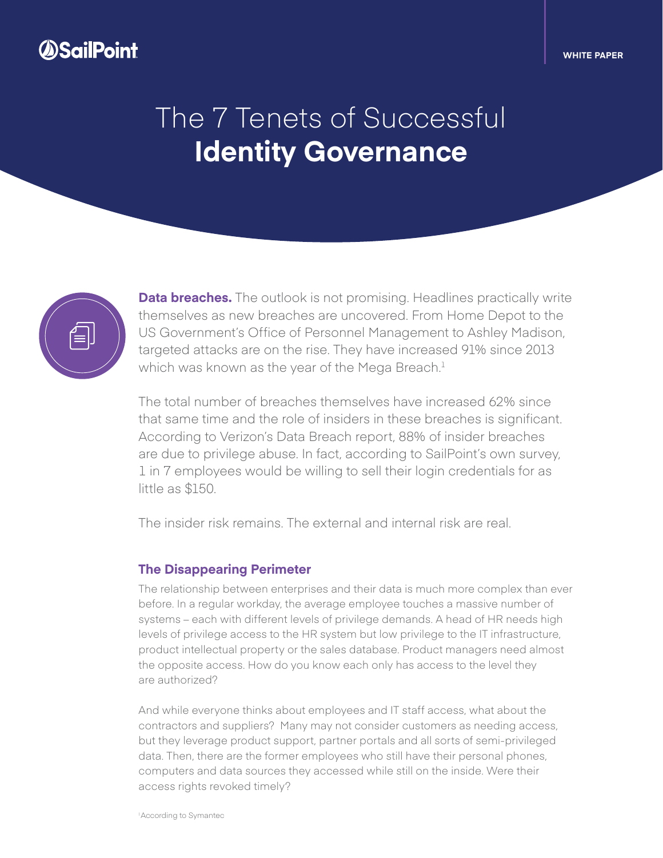# *OSailPoint*

#### **WHITE PAPER**

# The 7 Tenets of Successful **Identity Governance**



**Data breaches.** The outlook is not promising. Headlines practically write themselves as new breaches are uncovered. From Home Depot to the US Government's Office of Personnel Management to Ashley Madison, targeted attacks are on the rise. They have increased 91% since 2013 which was known as the year of the Mega Breach. $1$ 

The total number of breaches themselves have increased 62% since that same time and the role of insiders in these breaches is significant. According to Verizon's Data Breach report, 88% of insider breaches are due to privilege abuse. In fact, according to SailPoint's own survey, 1 in 7 employees would be willing to sell their login credentials for as little as \$150.

The insider risk remains. The external and internal risk are real.

#### **The Disappearing Perimeter**

The relationship between enterprises and their data is much more complex than ever before. In a regular workday, the average employee touches a massive number of systems – each with different levels of privilege demands. A head of HR needs high levels of privilege access to the HR system but low privilege to the IT infrastructure, product intellectual property or the sales database. Product managers need almost the opposite access. How do you know each only has access to the level they are authorized?

And while everyone thinks about employees and IT staff access, what about the contractors and suppliers? Many may not consider customers as needing access, but they leverage product support, partner portals and all sorts of semi-privileged data. Then, there are the former employees who still have their personal phones, computers and data sources they accessed while still on the inside. Were their access rights revoked timely?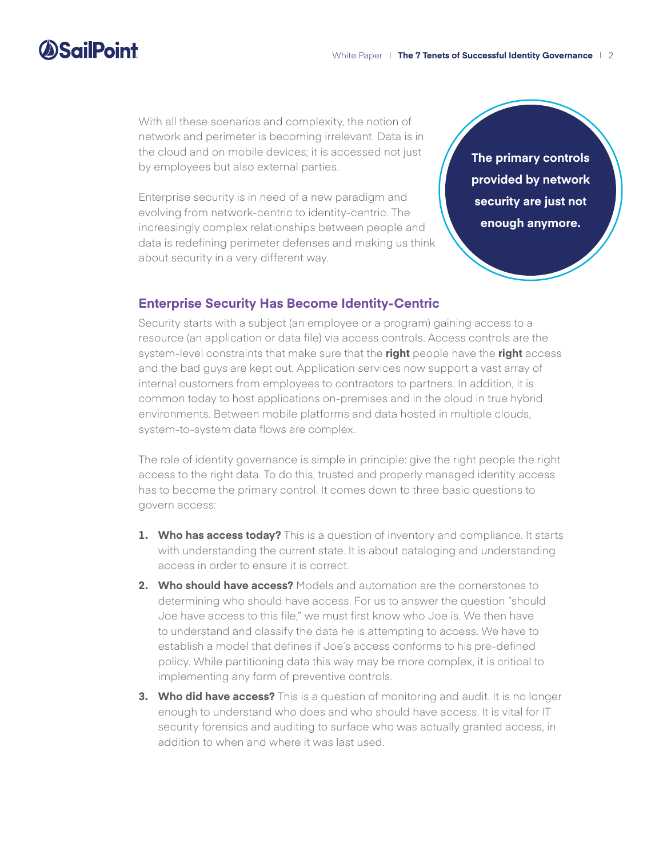# **SailPoint**

With all these scenarios and complexity, the notion of network and perimeter is becoming irrelevant. Data is in the cloud and on mobile devices; it is accessed not just by employees but also external parties.

Enterprise security is in need of a new paradigm and evolving from network-centric to identity-centric. The increasingly complex relationships between people and data is redefining perimeter defenses and making us think about security in a very different way.

**The primary controls provided by network security are just not enough anymore.**

### **Enterprise Security Has Become Identity-Centric**

Security starts with a subject (an employee or a program) gaining access to a resource (an application or data file) via access controls. Access controls are the system-level constraints that make sure that the **right** people have the **right** access and the bad guys are kept out. Application services now support a vast array of internal customers from employees to contractors to partners. In addition, it is common today to host applications on-premises and in the cloud in true hybrid environments. Between mobile platforms and data hosted in multiple clouds, system-to-system data flows are complex.

The role of identity governance is simple in principle: give the right people the right access to the right data. To do this, trusted and properly managed identity access has to become the primary control. It comes down to three basic questions to govern access:

- **1. Who has access today?** This is a question of inventory and compliance. It starts with understanding the current state. It is about cataloging and understanding access in order to ensure it is correct.
- **2. Who should have access?** Models and automation are the cornerstones to determining who should have access. For us to answer the question "should Joe have access to this file," we must first know who Joe is. We then have to understand and classify the data he is attempting to access. We have to establish a model that defines if Joe's access conforms to his pre-defined policy. While partitioning data this way may be more complex, it is critical to implementing any form of preventive controls.
- **3. Who did have access?** This is a question of monitoring and audit. It is no longer enough to understand who does and who should have access. It is vital for IT security forensics and auditing to surface who was actually granted access, in addition to when and where it was last used.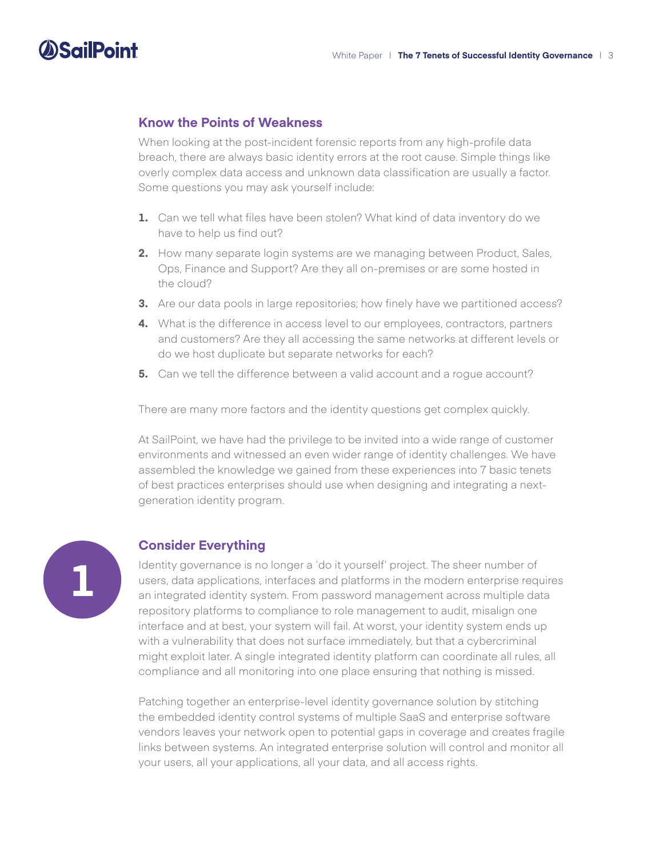# **Know the Points of Weakness**

When looking at the post-incident forensic reports from any high-profile data breach, there are always basic identity errors at the root cause. Simple things like overly complex data access and unknown data classification are usually a factor. Some questions you may ask yourself include:

- **1.** Can we tell what files have been stolen? What kind of data inventory do we have to help us find out?
- **2.** How many separate login systems are we managing between Product, Sales, Ops, Finance and Support? Are they all on-premises or are some hosted in the cloud?
- **3.** Are our data pools in large repositories; how finely have we partitioned access?
- **4.** What is the difference in access level to our employees, contractors, partners and customers? Are they all accessing the same networks at different levels or do we host duplicate but separate networks for each?
- **5.** Can we tell the difference between a valid account and a roque account?

There are many more factors and the identity questions get complex quickly.

At SailPoint, we have had the privilege to be invited into a wide range of customer environments and witnessed an even wider range of identity challenges. We have assembled the knowledge we gained from these experiences into 7 basic tenets of best practices enterprises should use when designing and integrating a nextgeneration identity program.



**SailPoint** 

### **Consider Everything**

Identity governance is no longer a 'do it yourself' project. The sheer number of users, data applications, interfaces and platforms in the modern enterprise requires an integrated identity system. From password management across multiple data repository platforms to compliance to role management to audit, misalign one interface and at best, your system will fail. At worst, your identity system ends up with a vulnerability that does not surface immediately, but that a cybercriminal might exploit later. A single integrated identity platform can coordinate all rules, all compliance and all monitoring into one place ensuring that nothing is missed.

Patching together an enterprise-level identity governance solution by stitching the embedded identity control systems of multiple SaaS and enterprise software vendors leaves your network open to potential gaps in coverage and creates fragile links between systems. An integrated enterprise solution will control and monitor all your users, all your applications, all your data, and all access rights.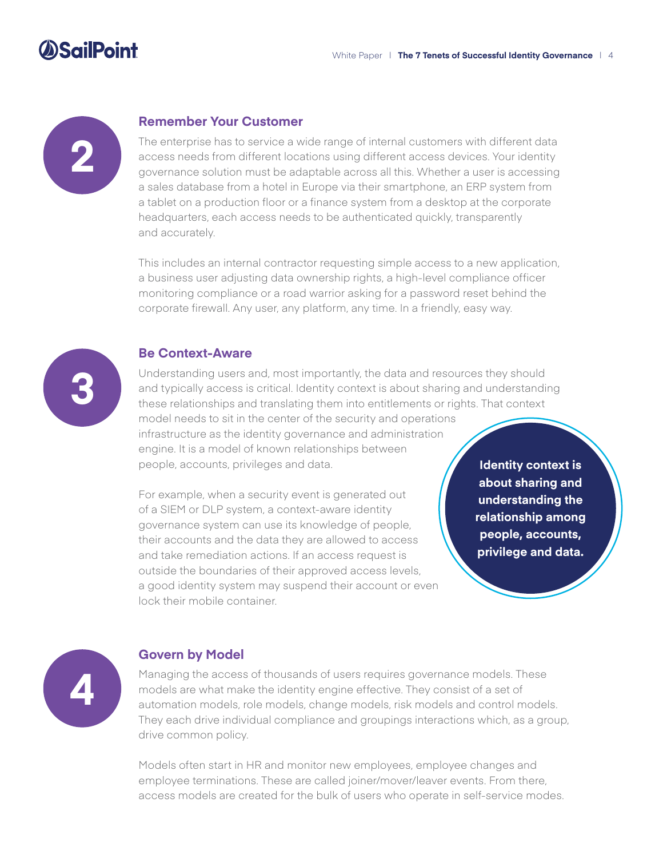# *SailPoint*



#### **Remember Your Customer**

The enterprise has to service a wide range of internal customers with different data access needs from different locations using different access devices. Your identity governance solution must be adaptable across all this. Whether a user is accessing a sales database from a hotel in Europe via their smartphone, an ERP system from a tablet on a production floor or a finance system from a desktop at the corporate headquarters, each access needs to be authenticated quickly, transparently and accurately.

This includes an internal contractor requesting simple access to a new application, a business user adjusting data ownership rights, a high-level compliance officer monitoring compliance or a road warrior asking for a password reset behind the corporate firewall. Any user, any platform, any time. In a friendly, easy way.



#### **Be Context-Aware**

Understanding users and, most importantly, the data and resources they should and typically access is critical. Identity context is about sharing and understanding these relationships and translating them into entitlements or rights. That context

model needs to sit in the center of the security and operations infrastructure as the identity governance and administration engine. It is a model of known relationships between people, accounts, privileges and data.

For example, when a security event is generated out of a SIEM or DLP system, a context-aware identity governance system can use its knowledge of people, their accounts and the data they are allowed to access and take remediation actions. If an access request is outside the boundaries of their approved access levels, a good identity system may suspend their account or even lock their mobile container.

**Identity context is about sharing and understanding the relationship among people, accounts, privilege and data.**



### **Govern by Model**

Managing the access of thousands of users requires governance models. These models are what make the identity engine effective. They consist of a set of automation models, role models, change models, risk models and control models. They each drive individual compliance and groupings interactions which, as a group, drive common policy.

Models often start in HR and monitor new employees, employee changes and employee terminations. These are called joiner/mover/leaver events. From there, access models are created for the bulk of users who operate in self-service modes.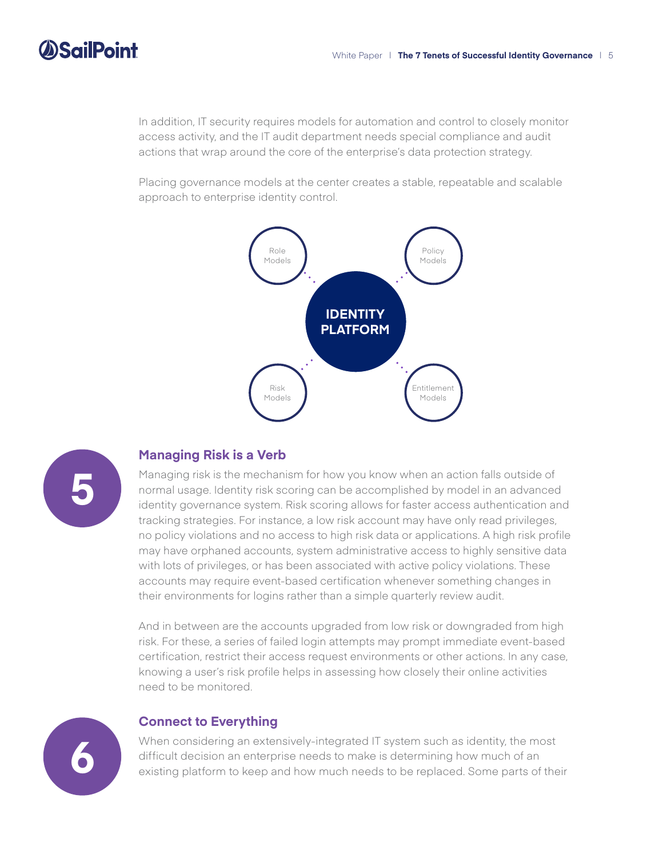# **SailPoint**

In addition, IT security requires models for automation and control to closely monitor access activity, and the IT audit department needs special compliance and audit actions that wrap around the core of the enterprise's data protection strategy.

Placing governance models at the center creates a stable, repeatable and scalable approach to enterprise identity control.





# **Managing Risk is a Verb**

Managing risk is the mechanism for how you know when an action falls outside of normal usage. Identity risk scoring can be accomplished by model in an advanced identity governance system. Risk scoring allows for faster access authentication and tracking strategies. For instance, a low risk account may have only read privileges, no policy violations and no access to high risk data or applications. A high risk profile may have orphaned accounts, system administrative access to highly sensitive data with lots of privileges, or has been associated with active policy violations. These accounts may require event-based certification whenever something changes in their environments for logins rather than a simple quarterly review audit.

And in between are the accounts upgraded from low risk or downgraded from high risk. For these, a series of failed login attempts may prompt immediate event-based certification, restrict their access request environments or other actions. In any case, knowing a user's risk profile helps in assessing how closely their online activities need to be monitored.



### **Connect to Everything**

When considering an extensively-integrated IT system such as identity, the most difficult decision an enterprise needs to make is determining how much of an existing platform to keep and how much needs to be replaced. Some parts of their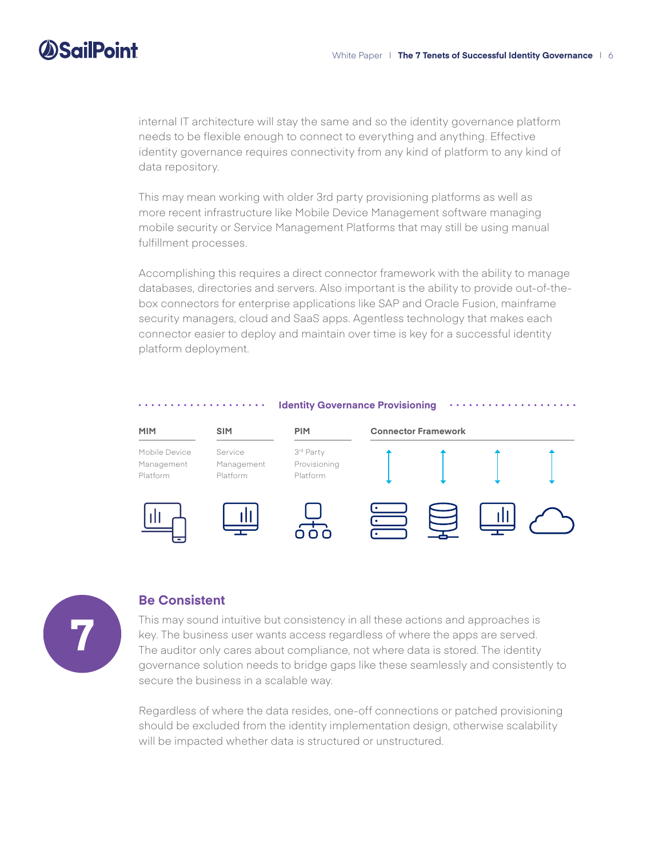# **DSailPoint**

internal IT architecture will stay the same and so the identity governance platform needs to be flexible enough to connect to everything and anything. Effective identity governance requires connectivity from any kind of platform to any kind of data repository.

This may mean working with older 3rd party provisioning platforms as well as more recent infrastructure like Mobile Device Management software managing mobile security or Service Management Platforms that may still be using manual fulfillment processes.

Accomplishing this requires a direct connector framework with the ability to manage databases, directories and servers. Also important is the ability to provide out-of-thebox connectors for enterprise applications like SAP and Oracle Fusion, mainframe security managers, cloud and SaaS apps. Agentless technology that makes each connector easier to deploy and maintain over time is key for a successful identity platform deployment.





### **Be Consistent**

This may sound intuitive but consistency in all these actions and approaches is key. The business user wants access regardless of where the apps are served. The auditor only cares about compliance, not where data is stored. The identity governance solution needs to bridge gaps like these seamlessly and consistently to secure the business in a scalable way.

Regardless of where the data resides, one-off connections or patched provisioning should be excluded from the identity implementation design, otherwise scalability will be impacted whether data is structured or unstructured.